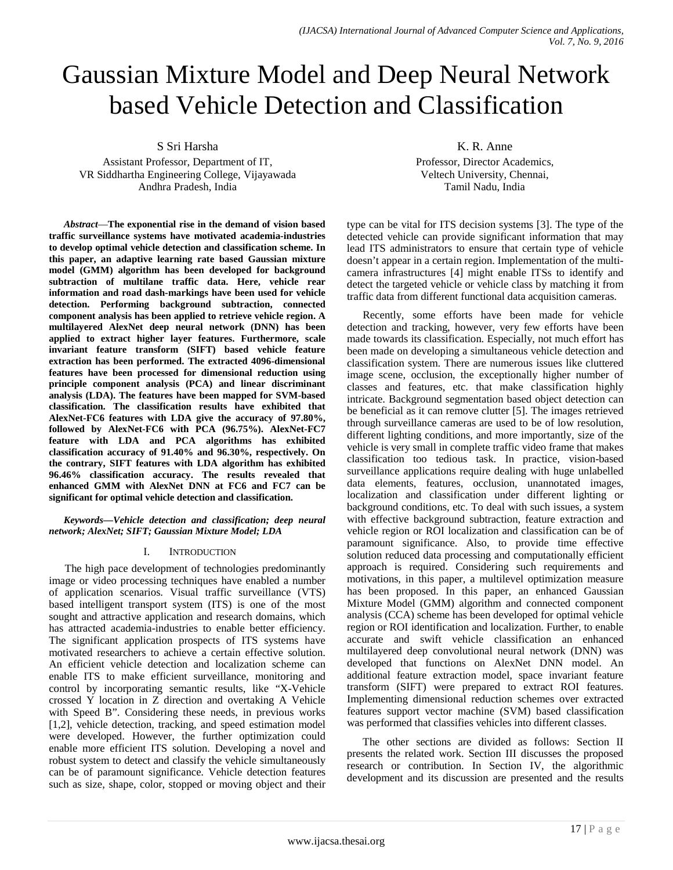# Gaussian Mixture Model and Deep Neural Network based Vehicle Detection and Classification

S Sri Harsha

Assistant Professor, Department of IT, VR Siddhartha Engineering College, Vijayawada Andhra Pradesh, India

*Abstract*—**The exponential rise in the demand of vision based traffic surveillance systems have motivated academia-industries to develop optimal vehicle detection and classification scheme. In this paper, an adaptive learning rate based Gaussian mixture model (GMM) algorithm has been developed for background subtraction of multilane traffic data. Here, vehicle rear information and road dash-markings have been used for vehicle detection. Performing background subtraction, connected component analysis has been applied to retrieve vehicle region. A multilayered AlexNet deep neural network (DNN) has been applied to extract higher layer features. Furthermore, scale invariant feature transform (SIFT) based vehicle feature extraction has been performed. The extracted 4096-dimensional features have been processed for dimensional reduction using principle component analysis (PCA) and linear discriminant analysis (LDA). The features have been mapped for SVM-based classification. The classification results have exhibited that AlexNet-FC6 features with LDA give the accuracy of 97.80%, followed by AlexNet-FC6 with PCA (96.75%). AlexNet-FC7 feature with LDA and PCA algorithms has exhibited classification accuracy of 91.40% and 96.30%, respectively. On the contrary, SIFT features with LDA algorithm has exhibited 96.46% classification accuracy. The results revealed that enhanced GMM with AlexNet DNN at FC6 and FC7 can be significant for optimal vehicle detection and classification.**

### *Keywords—Vehicle detection and classification; deep neural network; AlexNet; SIFT; Gaussian Mixture Model; LDA*

# I. INTRODUCTION

The high pace development of technologies predominantly image or video processing techniques have enabled a number of application scenarios. Visual traffic surveillance (VTS) based intelligent transport system (ITS) is one of the most sought and attractive application and research domains, which has attracted academia-industries to enable better efficiency. The significant application prospects of ITS systems have motivated researchers to achieve a certain effective solution. An efficient vehicle detection and localization scheme can enable ITS to make efficient surveillance, monitoring and control by incorporating semantic results, like "X-Vehicle crossed Y location in Z direction and overtaking A Vehicle with Speed B". Considering these needs, in previous works [1,2], vehicle detection, tracking, and speed estimation model were developed. However, the further optimization could enable more efficient ITS solution. Developing a novel and robust system to detect and classify the vehicle simultaneously can be of paramount significance. Vehicle detection features such as size, shape, color, stopped or moving object and their

K. R. Anne Professor, Director Academics, Veltech University, Chennai, Tamil Nadu, India

type can be vital for ITS decision systems [3]. The type of the detected vehicle can provide significant information that may lead ITS administrators to ensure that certain type of vehicle doesn't appear in a certain region. Implementation of the multicamera infrastructures [4] might enable ITSs to identify and detect the targeted vehicle or vehicle class by matching it from traffic data from different functional data acquisition cameras.

Recently, some efforts have been made for vehicle detection and tracking, however, very few efforts have been made towards its classification. Especially, not much effort has been made on developing a simultaneous vehicle detection and classification system. There are numerous issues like cluttered image scene, occlusion, the exceptionally higher number of classes and features, etc. that make classification highly intricate. Background segmentation based object detection can be beneficial as it can remove clutter [5]. The images retrieved through surveillance cameras are used to be of low resolution, different lighting conditions, and more importantly, size of the vehicle is very small in complete traffic video frame that makes classification too tedious task. In practice, vision-based surveillance applications require dealing with huge unlabelled data elements, features, occlusion, unannotated images, localization and classification under different lighting or background conditions, etc. To deal with such issues, a system with effective background subtraction, feature extraction and vehicle region or ROI localization and classification can be of paramount significance. Also, to provide time effective solution reduced data processing and computationally efficient approach is required. Considering such requirements and motivations, in this paper, a multilevel optimization measure has been proposed. In this paper, an enhanced Gaussian Mixture Model (GMM) algorithm and connected component analysis (CCA) scheme has been developed for optimal vehicle region or ROI identification and localization. Further, to enable accurate and swift vehicle classification an enhanced multilayered deep convolutional neural network (DNN) was developed that functions on AlexNet DNN model. An additional feature extraction model, space invariant feature transform (SIFT) were prepared to extract ROI features. Implementing dimensional reduction schemes over extracted features support vector machine (SVM) based classification was performed that classifies vehicles into different classes.

The other sections are divided as follows: Section II presents the related work. Section III discusses the proposed research or contribution. In Section IV, the algorithmic development and its discussion are presented and the results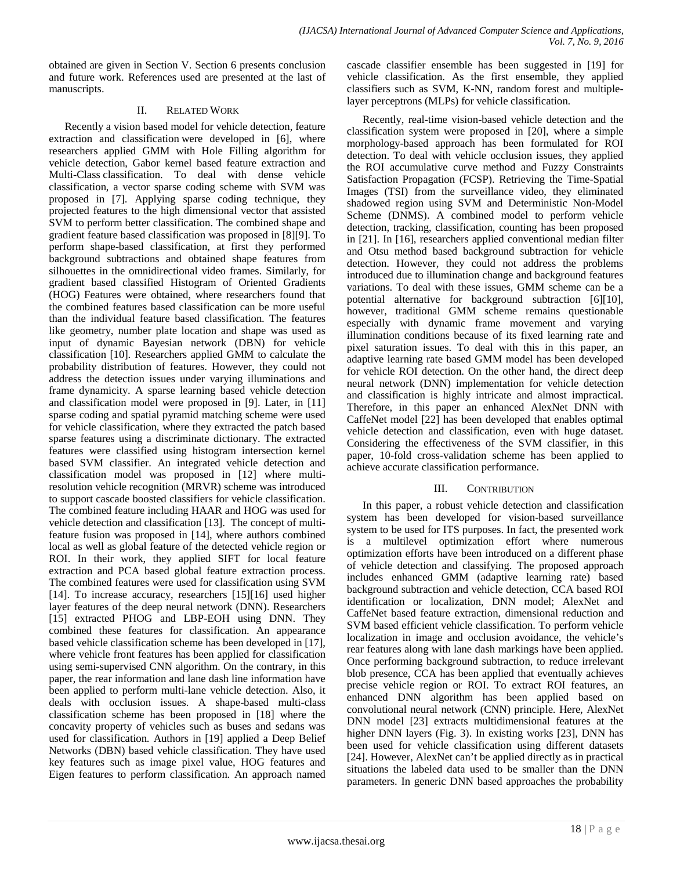obtained are given in Section V. Section 6 presents conclusion and future work. References used are presented at the last of manuscripts.

# II. RELATED WORK

Recently a vision based model for vehicle detection, feature extraction and classification were developed in [6], where researchers applied GMM with Hole Filling algorithm for vehicle detection, Gabor kernel based feature extraction and Multi-Class classification. To deal with dense vehicle classification, a vector sparse coding scheme with SVM was proposed in [7]. Applying sparse coding technique, they projected features to the high dimensional vector that assisted SVM to perform better classification. The combined shape and gradient feature based classification was proposed in [8][9]. To perform shape-based classification, at first they performed background subtractions and obtained shape features from silhouettes in the omnidirectional video frames. Similarly, for gradient based classified Histogram of Oriented Gradients (HOG) Features were obtained, where researchers found that the combined features based classification can be more useful than the individual feature based classification. The features like geometry, number plate location and shape was used as input of dynamic Bayesian network (DBN) for vehicle classification [10]. Researchers applied GMM to calculate the probability distribution of features. However, they could not address the detection issues under varying illuminations and frame dynamicity. A sparse learning based vehicle detection and classification model were proposed in [9]. Later, in [11] sparse coding and spatial pyramid matching scheme were used for vehicle classification, where they extracted the patch based sparse features using a discriminate dictionary. The extracted features were classified using histogram intersection kernel based SVM classifier. An integrated vehicle detection and classification model was proposed in [12] where multiresolution vehicle recognition (MRVR) scheme was introduced to support cascade boosted classifiers for vehicle classification. The combined feature including HAAR and HOG was used for vehicle detection and classification [13]. The concept of multifeature fusion was proposed in [14], where authors combined local as well as global feature of the detected vehicle region or ROI. In their work, they applied SIFT for local feature extraction and PCA based global feature extraction process. The combined features were used for classification using SVM [14]. To increase accuracy, researchers [15][16] used higher layer features of the deep neural network (DNN). Researchers [15] extracted PHOG and LBP-EOH using DNN. They combined these features for classification. An appearance based vehicle classification scheme has been developed in [17], where vehicle front features has been applied for classification using semi-supervised CNN algorithm. On the contrary, in this paper, the rear information and lane dash line information have been applied to perform multi-lane vehicle detection. Also, it deals with occlusion issues. A shape-based multi-class classification scheme has been proposed in [18] where the concavity property of vehicles such as buses and sedans was used for classification. Authors in [19] applied a Deep Belief Networks (DBN) based vehicle classification. They have used key features such as image pixel value, HOG features and Eigen features to perform classification. An approach named cascade classifier ensemble has been suggested in [19] for vehicle classification. As the first ensemble, they applied classifiers such as SVM, K-NN, random forest and multiplelayer perceptrons (MLPs) for vehicle classification.

Recently, real-time vision-based vehicle detection and the classification system were proposed in [20], where a simple morphology-based approach has been formulated for ROI detection. To deal with vehicle occlusion issues, they applied the ROI accumulative curve method and Fuzzy Constraints Satisfaction Propagation (FCSP). Retrieving the Time-Spatial Images (TSI) from the surveillance video, they eliminated shadowed region using SVM and Deterministic Non-Model Scheme (DNMS). A combined model to perform vehicle detection, tracking, classification, counting has been proposed in [21]. In [16], researchers applied conventional median filter and Otsu method based background subtraction for vehicle detection. However, they could not address the problems introduced due to illumination change and background features variations. To deal with these issues, GMM scheme can be a potential alternative for background subtraction [6][10], however, traditional GMM scheme remains questionable especially with dynamic frame movement and varying illumination conditions because of its fixed learning rate and pixel saturation issues. To deal with this in this paper, an adaptive learning rate based GMM model has been developed for vehicle ROI detection. On the other hand, the direct deep neural network (DNN) implementation for vehicle detection and classification is highly intricate and almost impractical. Therefore, in this paper an enhanced AlexNet DNN with CaffeNet model [22] has been developed that enables optimal vehicle detection and classification, even with huge dataset. Considering the effectiveness of the SVM classifier, in this paper, 10-fold cross-validation scheme has been applied to achieve accurate classification performance.

# III. CONTRIBUTION

In this paper, a robust vehicle detection and classification system has been developed for vision-based surveillance system to be used for ITS purposes. In fact, the presented work is a multilevel optimization effort where numerous optimization efforts have been introduced on a different phase of vehicle detection and classifying. The proposed approach includes enhanced GMM (adaptive learning rate) based background subtraction and vehicle detection, CCA based ROI identification or localization, DNN model; AlexNet and CaffeNet based feature extraction, dimensional reduction and SVM based efficient vehicle classification. To perform vehicle localization in image and occlusion avoidance, the vehicle's rear features along with lane dash markings have been applied. Once performing background subtraction, to reduce irrelevant blob presence, CCA has been applied that eventually achieves precise vehicle region or ROI. To extract ROI features, an enhanced DNN algorithm has been applied based on convolutional neural network (CNN) principle. Here, AlexNet DNN model [23] extracts multidimensional features at the higher DNN layers (Fig. 3). In existing works [23], DNN has been used for vehicle classification using different datasets [24]. However, AlexNet can't be applied directly as in practical situations the labeled data used to be smaller than the DNN parameters. In generic DNN based approaches the probability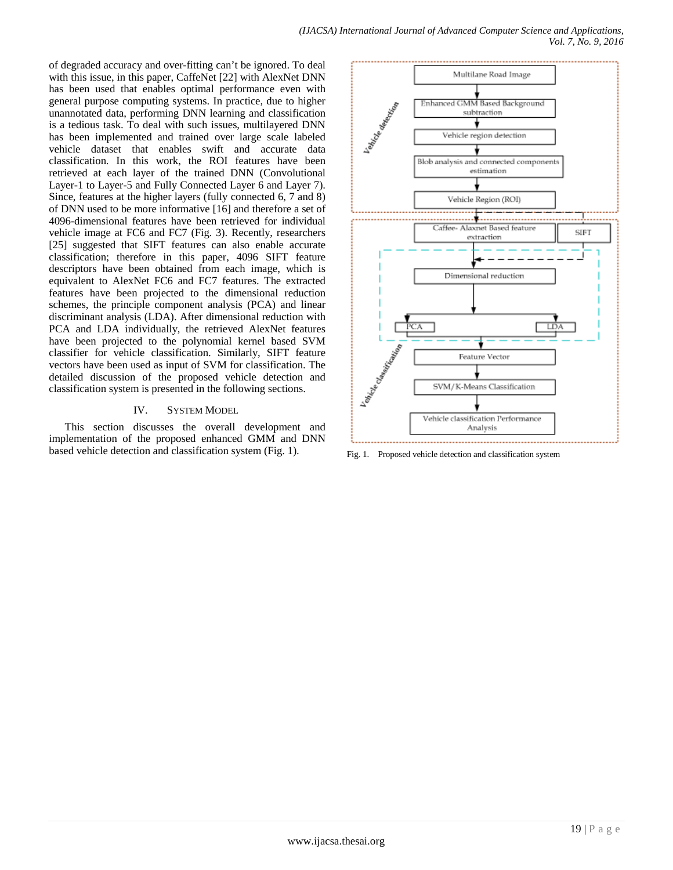*(IJACSA) International Journal of Advanced Computer Science and Applications, Vol. 7, No. 9, 2016*

of degraded accuracy and over-fitting can't be ignored. To deal with this issue, in this paper, CaffeNet [22] with AlexNet DNN has been used that enables optimal performance even with general purpose computing systems. In practice, due to higher unannotated data, performing DNN learning and classification is a tedious task. To deal with such issues, multilayered DNN has been implemented and trained over large scale labeled vehicle dataset that enables swift and accurate data classification. In this work, the ROI features have been retrieved at each layer of the trained DNN (Convolutional Layer-1 to Layer-5 and Fully Connected Layer 6 and Layer 7). Since, features at the higher layers (fully connected 6, 7 and 8) of DNN used to be more informative [16] and therefore a set of 4096-dimensional features have been retrieved for individual vehicle image at FC6 and FC7 (Fig. 3). Recently, researchers [25] suggested that SIFT features can also enable accurate classification; therefore in this paper, 4096 SIFT feature descriptors have been obtained from each image, which is equivalent to AlexNet FC6 and FC7 features. The extracted features have been projected to the dimensional reduction schemes, the principle component analysis (PCA) and linear discriminant analysis (LDA). After dimensional reduction with PCA and LDA individually, the retrieved AlexNet features have been projected to the polynomial kernel based SVM classifier for vehicle classification. Similarly, SIFT feature vectors have been used as input of SVM for classification. The detailed discussion of the proposed vehicle detection and classification system is presented in the following sections.

### IV. SYSTEM MODEL

This section discusses the overall development and implementation of the proposed enhanced GMM and DNN based vehicle detection and classification system (Fig. 1). Fig. 1. Proposed vehicle detection and classification system

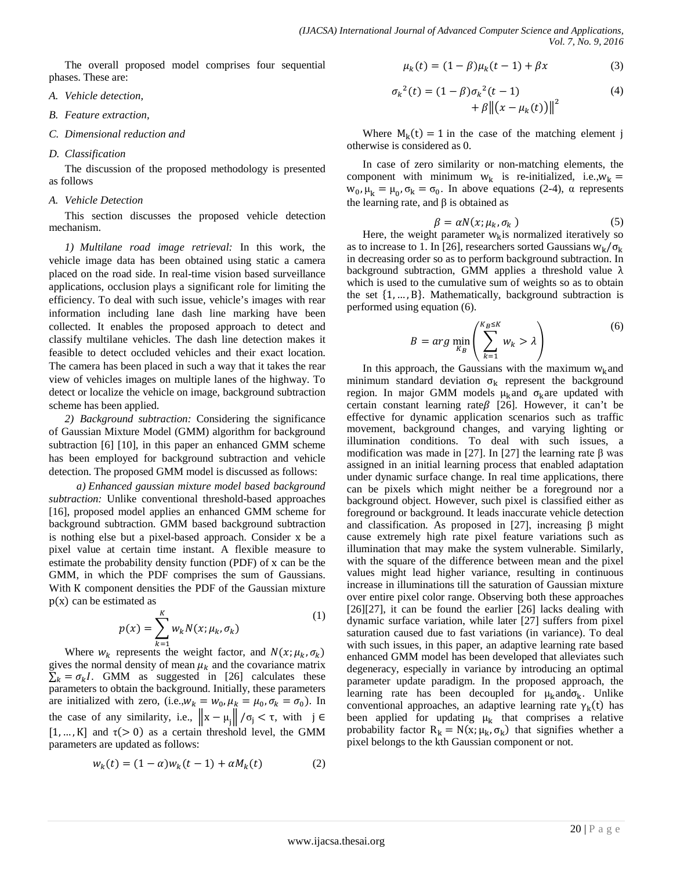The overall proposed model comprises four sequential phases. These are:

- *A. Vehicle detection,*
- *B. Feature extraction,*
- *C. Dimensional reduction and*
- *D. Classification*

The discussion of the proposed methodology is presented as follows

#### *A. Vehicle Detection*

This section discusses the proposed vehicle detection mechanism.

*1) Multilane road image retrieval:* In this work, the vehicle image data has been obtained using static a camera placed on the road side. In real-time vision based surveillance applications, occlusion plays a significant role for limiting the efficiency. To deal with such issue, vehicle's images with rear information including lane dash line marking have been collected. It enables the proposed approach to detect and classify multilane vehicles. The dash line detection makes it feasible to detect occluded vehicles and their exact location. The camera has been placed in such a way that it takes the rear view of vehicles images on multiple lanes of the highway. To detect or localize the vehicle on image, background subtraction scheme has been applied.

*2) Background subtraction:* Considering the significance of Gaussian Mixture Model (GMM) algorithm for background subtraction [6] [10], in this paper an enhanced GMM scheme has been employed for background subtraction and vehicle detection. The proposed GMM model is discussed as follows:

*a) Enhanced gaussian mixture model based background subtraction:* Unlike conventional threshold-based approaches [16], proposed model applies an enhanced GMM scheme for background subtraction. GMM based background subtraction is nothing else but a pixel-based approach. Consider x be a pixel value at certain time instant. A flexible measure to estimate the probability density function (PDF) of x can be the GMM, in which the PDF comprises the sum of Gaussians. With K component densities the PDF of the Gaussian mixture  $p(x)$  can be estimated as

$$
p(x) = \sum_{k=1}^{K} w_k N(x; \mu_k, \sigma_k)
$$
 (1)

Where  $w_k$  represents the weight factor, and  $N(x; \mu_k, \sigma_k)$ gives the normal density of mean  $\mu_k$  and the covariance matrix  $\sum_{k} = \sigma_{k}I$ . GMM as suggested in [26] calculates these parameters to obtain the background. Initially, these parameters are initialized with zero, (i.e., $w_k = w_0$ ,  $\mu_k = \mu_0$ ,  $\sigma_k = \sigma_0$ ). In the case of any similarity, i.e.,  $||x - \mu_j|| / \sigma_j < \tau$ , with j ∈  $[1, ..., K]$  and  $\tau(> 0)$  as a certain threshold level, the GMM parameters are updated as follows:

$$
w_k(t) = (1 - \alpha)w_k(t - 1) + \alpha M_k(t)
$$
 (2)

$$
\mu_k(t) = (1 - \beta)\mu_k(t - 1) + \beta x \tag{3}
$$

$$
\sigma_k^2(t) = (1 - \beta)\sigma_k^2(t - 1) + \beta ||(x - \mu_k(t))||^2
$$
\n(4)

Where  $M_k(t) = 1$  in the case of the matching element j otherwise is considered as 0.

In case of zero similarity or non-matching elements, the component with minimum  $w_k$  is re-initialized, i.e., $w_k$  =  $w_0$ ,  $\mu_k = \mu_0$ ,  $\sigma_k = \sigma_0$ . In above equations (2-4),  $\alpha$  represents the learning rate, and  $β$  is obtained as

$$
\beta = \alpha N(x; \mu_k, \sigma_k) \tag{5}
$$

Here, the weight parameter  $w_k$  is normalized iteratively so as to increase to 1. In [26], researchers sorted Gaussians  $w_k/\sigma_k$ in decreasing order so as to perform background subtraction. In background subtraction, GMM applies a threshold value λ which is used to the cumulative sum of weights so as to obtain the set  $\{1, \ldots, B\}$ . Mathematically, background subtraction is performed using equation (6).

$$
B = arg \min_{K_B} \left( \sum_{k=1}^{K_B \le K} w_k > \lambda \right)
$$
 (6)

In this approach, the Gaussians with the maximum  $w_k$ and minimum standard deviation  $\sigma_k$  represent the background region. In major GMM models  $\mu_k$ and  $\sigma_k$ are updated with certain constant learning rate  $\beta$  [26]. However, it can't be effective for dynamic application scenarios such as traffic movement, background changes, and varying lighting or illumination conditions. To deal with such issues, a modification was made in [27]. In [27] the learning rate β was assigned in an initial learning process that enabled adaptation under dynamic surface change. In real time applications, there can be pixels which might neither be a foreground nor a background object. However, such pixel is classified either as foreground or background. It leads inaccurate vehicle detection and classification. As proposed in [27], increasing β might cause extremely high rate pixel feature variations such as illumination that may make the system vulnerable. Similarly, with the square of the difference between mean and the pixel values might lead higher variance, resulting in continuous increase in illuminations till the saturation of Gaussian mixture over entire pixel color range. Observing both these approaches [26][27], it can be found the earlier [26] lacks dealing with dynamic surface variation, while later [27] suffers from pixel saturation caused due to fast variations (in variance). To deal with such issues, in this paper, an adaptive learning rate based enhanced GMM model has been developed that alleviates such degeneracy, especially in variance by introducing an optimal parameter update paradigm. In the proposed approach, the learning rate has been decoupled for  $\mu_k$ ando<sub>k</sub>. Unlike conventional approaches, an adaptive learning rate  $\gamma_k(t)$  has been applied for updating  $\mu_k$  that comprises a relative probability factor  $R_k = N(x; \mu_k, \sigma_k)$  that signifies whether a pixel belongs to the kth Gaussian component or not.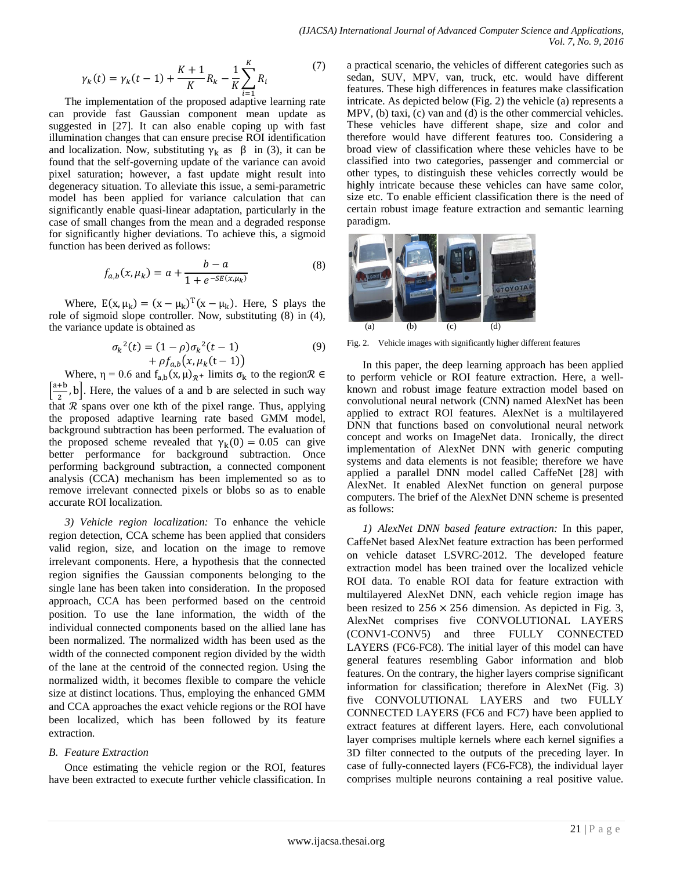$$
\gamma_k(t) = \gamma_k(t-1) + \frac{K+1}{K} R_k - \frac{1}{K} \sum_{i=1}^K R_i \tag{7}
$$

The implementation of the proposed adaptive learning rate can provide fast Gaussian component mean update as suggested in [27]. It can also enable coping up with fast illumination changes that can ensure precise ROI identification and localization. Now, substituting  $\gamma_k$  as  $\beta$  in (3), it can be found that the self-governing update of the variance can avoid pixel saturation; however, a fast update might result into degeneracy situation. To alleviate this issue, a semi-parametric model has been applied for variance calculation that can significantly enable quasi-linear adaptation, particularly in the case of small changes from the mean and a degraded response for significantly higher deviations. To achieve this, a sigmoid function has been derived as follows:

$$
f_{a,b}(x,\mu_k) = a + \frac{b - a}{1 + e^{-SE(x,\mu_k)}}
$$
(8)

Where,  $E(x, \mu_k) = (x - \mu_k)^T (x - \mu_k)$ . Here, S plays the role of sigmoid slope controller. Now, substituting (8) in (4), the variance update is obtained as

$$
\sigma_k^2(t) = (1 - \rho)\sigma_k^2(t - 1) + \rho f_{a,b}(x, \mu_k(t - 1))
$$
\n(9)

Where,  $\eta = 0.6$  and  $f_{a,b}(x, \mu)_{\mathcal{R}^+}$  limits  $\sigma_k$  to the region  $\mathcal{R} \in$  $\left[\frac{a+b}{2}, b\right]$ . Here, the values of a and b are selected in such way that  $R$  spans over one kth of the pixel range. Thus, applying the proposed adaptive learning rate based GMM model, background subtraction has been performed. The evaluation of the proposed scheme revealed that  $\gamma_k(0) = 0.05$  can give better performance for background subtraction. Once performing background subtraction, a connected component analysis (CCA) mechanism has been implemented so as to remove irrelevant connected pixels or blobs so as to enable accurate ROI localization.

*3) Vehicle region localization:* To enhance the vehicle region detection, CCA scheme has been applied that considers valid region, size, and location on the image to remove irrelevant components. Here, a hypothesis that the connected region signifies the Gaussian components belonging to the single lane has been taken into consideration. In the proposed approach, CCA has been performed based on the centroid position. To use the lane information, the width of the individual connected components based on the allied lane has been normalized. The normalized width has been used as the width of the connected component region divided by the width of the lane at the centroid of the connected region. Using the normalized width, it becomes flexible to compare the vehicle size at distinct locations. Thus, employing the enhanced GMM and CCA approaches the exact vehicle regions or the ROI have been localized, which has been followed by its feature extraction.

### *B. Feature Extraction*

Once estimating the vehicle region or the ROI, features have been extracted to execute further vehicle classification. In

a practical scenario, the vehicles of different categories such as sedan, SUV, MPV, van, truck, etc. would have different features. These high differences in features make classification intricate. As depicted below (Fig. 2) the vehicle (a) represents a MPV, (b) taxi, (c) van and (d) is the other commercial vehicles. These vehicles have different shape, size and color and therefore would have different features too. Considering a broad view of classification where these vehicles have to be classified into two categories, passenger and commercial or other types, to distinguish these vehicles correctly would be highly intricate because these vehicles can have same color, size etc. To enable efficient classification there is the need of certain robust image feature extraction and semantic learning paradigm.



Fig. 2. Vehicle images with significantly higher different features

In this paper, the deep learning approach has been applied to perform vehicle or ROI feature extraction. Here, a wellknown and robust image feature extraction model based on convolutional neural network (CNN) named AlexNet has been applied to extract ROI features. AlexNet is a multilayered DNN that functions based on convolutional neural network concept and works on ImageNet data. Ironically, the direct implementation of AlexNet DNN with generic computing systems and data elements is not feasible; therefore we have applied a parallel DNN model called CaffeNet [28] with AlexNet. It enabled AlexNet function on general purpose computers. The brief of the AlexNet DNN scheme is presented as follows:

*1) AlexNet DNN based feature extraction:* In this paper, CaffeNet based AlexNet feature extraction has been performed on vehicle dataset LSVRC-2012. The developed feature extraction model has been trained over the localized vehicle ROI data. To enable ROI data for feature extraction with multilayered AlexNet DNN, each vehicle region image has been resized to  $256 \times 256$  dimension. As depicted in Fig. 3, AlexNet comprises five CONVOLUTIONAL LAYERS (CONV1-CONV5) and three FULLY CONNECTED LAYERS (FC6-FC8). The initial layer of this model can have general features resembling Gabor information and blob features. On the contrary, the higher layers comprise significant information for classification; therefore in AlexNet (Fig. 3) five CONVOLUTIONAL LAYERS and two FULLY CONNECTED LAYERS (FC6 and FC7) have been applied to extract features at different layers. Here, each convolutional layer comprises multiple kernels where each kernel signifies a 3D filter connected to the outputs of the preceding layer. In case of fully-connected layers (FC6-FC8), the individual layer comprises multiple neurons containing a real positive value.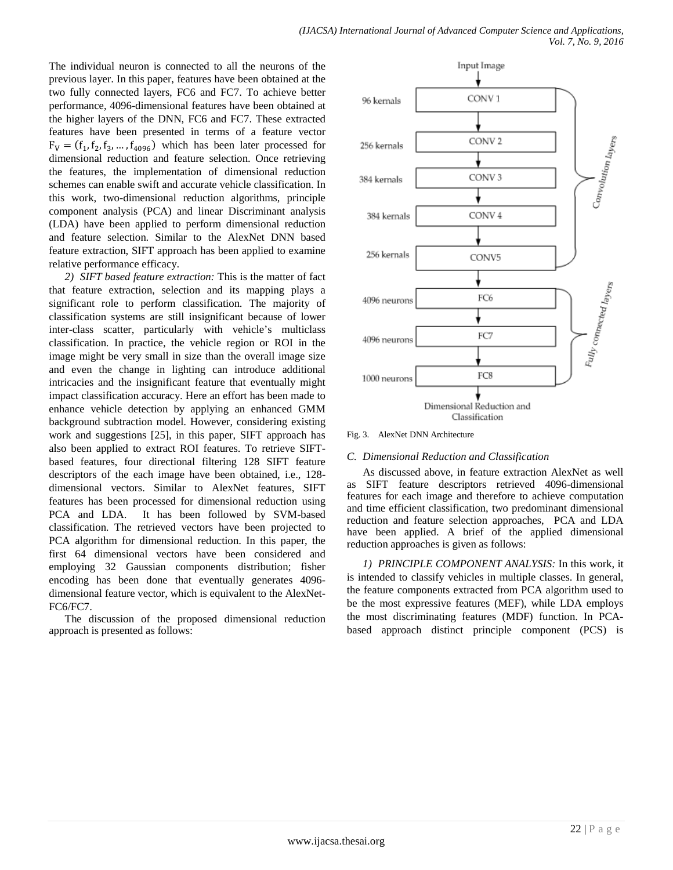The individual neuron is connected to all the neurons of the previous layer. In this paper, features have been obtained at the two fully connected layers, FC6 and FC7. To achieve better performance, 4096-dimensional features have been obtained at the higher layers of the DNN, FC6 and FC7. These extracted features have been presented in terms of a feature vector  $F_V = (f_1, f_2, f_3, \dots, f_{4096})$  which has been later processed for dimensional reduction and feature selection. Once retrieving the features, the implementation of dimensional reduction schemes can enable swift and accurate vehicle classification. In this work, two-dimensional reduction algorithms, principle component analysis (PCA) and linear Discriminant analysis (LDA) have been applied to perform dimensional reduction and feature selection. Similar to the AlexNet DNN based feature extraction, SIFT approach has been applied to examine relative performance efficacy.

*2) SIFT based feature extraction:* This is the matter of fact that feature extraction, selection and its mapping plays a significant role to perform classification. The majority of classification systems are still insignificant because of lower inter-class scatter, particularly with vehicle's multiclass classification. In practice, the vehicle region or ROI in the image might be very small in size than the overall image size and even the change in lighting can introduce additional intricacies and the insignificant feature that eventually might impact classification accuracy. Here an effort has been made to enhance vehicle detection by applying an enhanced GMM background subtraction model. However, considering existing work and suggestions [25], in this paper, SIFT approach has also been applied to extract ROI features. To retrieve SIFTbased features, four directional filtering 128 SIFT feature descriptors of the each image have been obtained, i.e., 128 dimensional vectors. Similar to AlexNet features, SIFT features has been processed for dimensional reduction using PCA and LDA. It has been followed by SVM-based classification. The retrieved vectors have been projected to PCA algorithm for dimensional reduction. In this paper, the first 64 dimensional vectors have been considered and employing 32 Gaussian components distribution; fisher encoding has been done that eventually generates 4096 dimensional feature vector, which is equivalent to the AlexNet-FC6/FC7.

The discussion of the proposed dimensional reduction approach is presented as follows:



Fig. 3. AlexNet DNN Architecture

### *C. Dimensional Reduction and Classification*

As discussed above, in feature extraction AlexNet as well as SIFT feature descriptors retrieved 4096-dimensional features for each image and therefore to achieve computation and time efficient classification, two predominant dimensional reduction and feature selection approaches, PCA and LDA have been applied. A brief of the applied dimensional reduction approaches is given as follows:

*1) PRINCIPLE COMPONENT ANALYSIS:* In this work, it is intended to classify vehicles in multiple classes. In general, the feature components extracted from PCA algorithm used to be the most expressive features (MEF), while LDA employs the most discriminating features (MDF) function. In PCAbased approach distinct principle component (PCS) is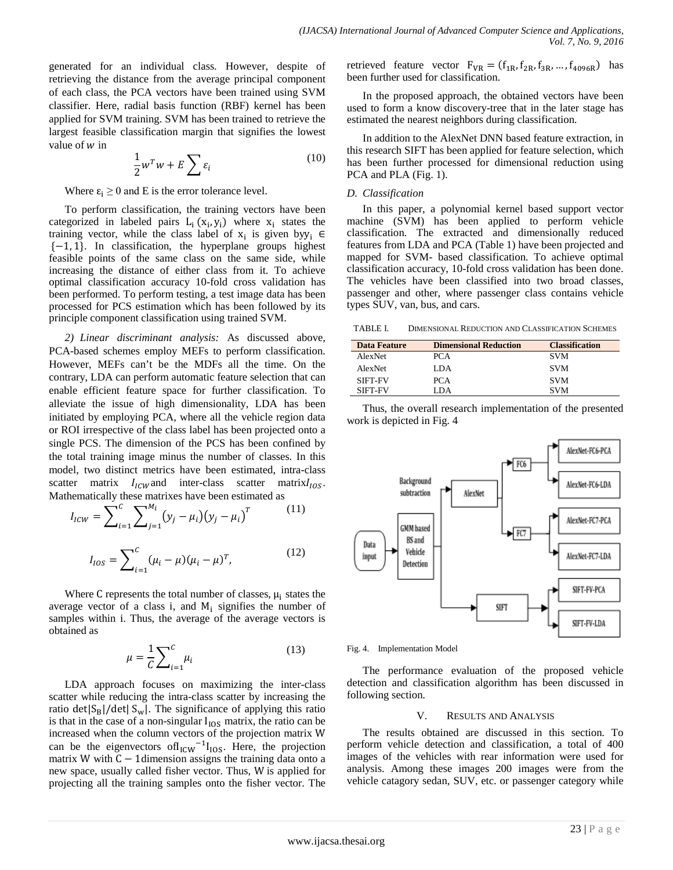generated for an individual class. However, despite of retrieving the distance from the average principal component of each class, the PCA vectors have been trained using SVM classifier. Here, radial basis function (RBF) kernel has been applied for SVM training. SVM has been trained to retrieve the largest feasible classification margin that signifies the lowest value of  $w$  in

$$
\frac{1}{2}w^T w + E \sum \varepsilon_i \tag{10}
$$

Where  $\varepsilon_i \geq 0$  and E is the error tolerance level.

To perform classification, the training vectors have been categorized in labeled pairs  $L_i(x_i, y_i)$  where  $x_i$  states the training vector, while the class label of  $x_i$  is given by  $y_i \in$  ${-1, 1}$ . In classification, the hyperplane groups highest feasible points of the same class on the same side, while increasing the distance of either class from it. To achieve optimal classification accuracy 10-fold cross validation has been performed. To perform testing, a test image data has been processed for PCS estimation which has been followed by its principle component classification using trained SVM.

*2) Linear discriminant analysis:* As discussed above, PCA-based schemes employ MEFs to perform classification. However, MEFs can't be the MDFs all the time. On the contrary, LDA can perform automatic feature selection that can enable efficient feature space for further classification. To alleviate the issue of high dimensionality, LDA has been initiated by employing PCA, where all the vehicle region data or ROI irrespective of the class label has been projected onto a single PCS. The dimension of the PCS has been confined by the total training image minus the number of classes. In this model, two distinct metrics have been estimated, intra-class scatter matrix  $I_{ICW}$  and inter-class scatter matrix $I_{IOS}$ . Mathematically these matrixes have been estimated as

$$
I_{ICW} = \sum_{i=1}^{C} \sum_{j=1}^{M_i} (y_j - \mu_i)(y_j - \mu_i)^T
$$
(11)  

$$
I_{IOS} = \sum_{i=1}^{C} (\mu_i - \mu)(\mu_i - \mu)^T,
$$
(12)

Where  $C$  represents the total number of classes,  $\mu_i$  states the average vector of a class i, and  $M_i$  signifies the number of samples within i. Thus, the average of the average vectors is obtained as

$$
\mu = \frac{1}{C} \sum_{i=1}^{C} \mu_i \tag{13}
$$

LDA approach focuses on maximizing the inter-class scatter while reducing the intra-class scatter by increasing the ratio det $|S_B|/det|S_w|$ . The significance of applying this ratio is that in the case of a non-singular  $I_{\text{IOS}}$  matrix, the ratio can be increased when the column vectors of the projection matrix W can be the eigenvectors of $I_{ICW}$ <sup>-1</sup> $I_{IOS}$ . Here, the projection matrix W with  $C - 1$  dimension assigns the training data onto a new space, usually called fisher vector. Thus, W is applied for projecting all the training samples onto the fisher vector. The retrieved feature vector  $F_{VR} = (f_{1R}, f_{2R}, f_{3R}, ..., f_{4096R})$  has been further used for classification.

In the proposed approach, the obtained vectors have been used to form a know discovery-tree that in the later stage has estimated the nearest neighbors during classification.

In addition to the AlexNet DNN based feature extraction, in this research SIFT has been applied for feature selection, which has been further processed for dimensional reduction using PCA and PLA (Fig. 1).

## *D. Classification*

In this paper, a polynomial kernel based support vector machine (SVM) has been applied to perform vehicle classification. The extracted and dimensionally reduced features from LDA and PCA (Table 1) have been projected and mapped for SVM- based classification. To achieve optimal classification accuracy, 10-fold cross validation has been done. The vehicles have been classified into two broad classes, passenger and other, where passenger class contains vehicle types SUV, van, bus, and cars.

TABLE I. DIMENSIONAL REDUCTION AND CLASSIFICATION SCHEMES

| <b>Data Feature</b> | <b>Dimensional Reduction</b> | <b>Classification</b> |
|---------------------|------------------------------|-----------------------|
| AlexNet             | PCA                          | <b>SVM</b>            |
| <b>AlexNet</b>      | LDA                          | <b>SVM</b>            |
| SIFT-FV             | PCA                          | <b>SVM</b>            |
| SIFT-FV             | LDA.                         | <b>SVM</b>            |

Thus, the overall research implementation of the presented work is depicted in Fig. 4



Fig. 4. Implementation Model

The performance evaluation of the proposed vehicle detection and classification algorithm has been discussed in following section.

### V. RESULTS AND ANALYSIS

The results obtained are discussed in this section. To perform vehicle detection and classification, a total of 400 images of the vehicles with rear information were used for analysis. Among these images 200 images were from the vehicle catagory sedan, SUV, etc. or passenger category while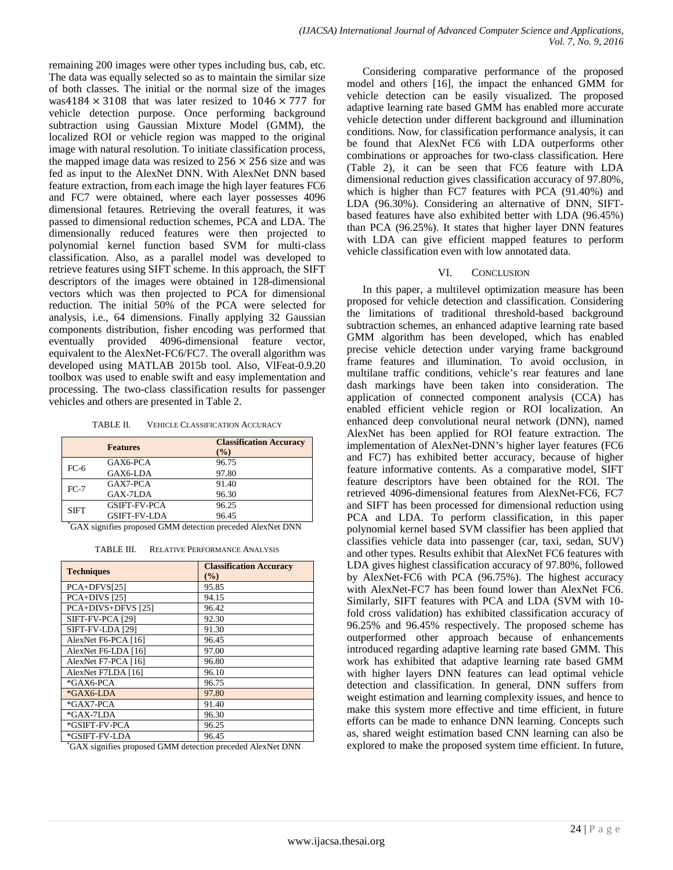remaining 200 images were other types including bus, cab, etc. The data was equally selected so as to maintain the similar size of both classes. The initial or the normal size of the images was4184  $\times$  3108 that was later resized to 1046  $\times$  777 for vehicle detection purpose. Once performing background subtraction using Gaussian Mixture Model (GMM), the localized ROI or vehicle region was mapped to the original image with natural resolution. To initiate classification process, the mapped image data was resized to  $256 \times 256$  size and was fed as input to the AlexNet DNN. With AlexNet DNN based feature extraction, from each image the high layer features FC6 and FC7 were obtained, where each layer possesses 4096 dimensional fetaures. Retrieving the overall features, it was passed to dimensional reduction schemes, PCA and LDA. The dimensionally reduced features were then projected to polynomial kernel function based SVM for multi-class classification. Also, as a parallel model was developed to retrieve features using SIFT scheme. In this approach, the SIFT descriptors of the images were obtained in 128-dimensional vectors which was then projected to PCA for dimensional reduction. The initial 50% of the PCA were selected for analysis, i.e., 64 dimensions. Finally applying 32 Gaussian components distribution, fisher encoding was performed that eventually provided 4096-dimensional feature vector, equivalent to the AlexNet-FC6/FC7. The overall algorithm was developed using MATLAB 2015b tool. Also, VlFeat-0.9.20 toolbox was used to enable swift and easy implementation and processing. The two-class classification results for passenger vehicles and others are presented in Table 2.

| TABLE II. | <b>VEHICLE CLASSIFICATION ACCURACY</b> |
|-----------|----------------------------------------|
|-----------|----------------------------------------|

| <b>Features</b>     | <b>Classification Accuracy</b><br>(9/0) |
|---------------------|-----------------------------------------|
| GAX6-PCA            | 96.75                                   |
| GAX6-LDA            | 97.80                                   |
| GAX7-PCA            | 91.40                                   |
| GAX-7LDA            | 96.30                                   |
| <b>GSIFT-FV-PCA</b> | 96.25                                   |
| <b>GSIFT-FV-LDA</b> | 96.45                                   |
|                     |                                         |

\* GAX signifies proposed GMM detection preceded AlexNet DNN

TABLE III. RELATIVE PERFORMANCE ANALYSIS

| <b>Techniques</b>   | <b>Classification Accuracy</b><br>(%) |
|---------------------|---------------------------------------|
| PCA+DFVS[25]        | 95.85                                 |
| $PCA+DIVS$ [25]     | 94.15                                 |
| PCA+DIVS+DFVS [25]  | 96.42                                 |
| SIFT-FV-PCA [29]    | 92.30                                 |
| SIFT-FV-LDA [29]    | 91.30                                 |
| AlexNet F6-PCA [16] | 96.45                                 |
| AlexNet F6-LDA [16] | 97.00                                 |
| AlexNet F7-PCA [16] | 96.80                                 |
| AlexNet F7LDA [16]  | 96.10                                 |
| *GAX6-PCA           | 96.75                                 |
| *GAX6-LDA           | 97.80                                 |
| *GAX7-PCA           | 91.40                                 |
| *GAX-7LDA           | 96.30                                 |
| *GSIFT-FV-PCA       | 96.25                                 |
| *GSIFT-FV-LDA       | 96.45                                 |

\* GAX signifies proposed GMM detection preceded AlexNet DNN

Considering comparative performance of the proposed model and others [16], the impact the enhanced GMM for vehicle detection can be easily visualized. The proposed adaptive learning rate based GMM has enabled more accurate vehicle detection under different background and illumination conditions. Now, for classification performance analysis, it can be found that AlexNet FC6 with LDA outperforms other combinations or approaches for two-class classification. Here (Table 2), it can be seen that FC6 feature with LDA dimensional reduction gives classification accuracy of 97.80%, which is higher than FC7 features with PCA (91.40%) and LDA (96.30%). Considering an alternative of DNN, SIFTbased features have also exhibited better with LDA (96.45%) than PCA (96.25%). It states that higher layer DNN features with LDA can give efficient mapped features to perform vehicle classification even with low annotated data.

#### VI. CONCLUSION

In this paper, a multilevel optimization measure has been proposed for vehicle detection and classification. Considering the limitations of traditional threshold-based background subtraction schemes, an enhanced adaptive learning rate based GMM algorithm has been developed, which has enabled precise vehicle detection under varying frame background frame features and illumination. To avoid occlusion, in multilane traffic conditions, vehicle's rear features and lane dash markings have been taken into consideration. The application of connected component analysis (CCA) has enabled efficient vehicle region or ROI localization. An enhanced deep convolutional neural network (DNN), named AlexNet has been applied for ROI feature extraction. The implementation of AlexNet-DNN's higher layer features (FC6 and FC7) has exhibited better accuracy, because of higher feature informative contents. As a comparative model, SIFT feature descriptors have been obtained for the ROI. The retrieved 4096-dimensional features from AlexNet-FC6, FC7 and SIFT has been processed for dimensional reduction using PCA and LDA. To perform classification, in this paper polynomial kernel based SVM classifier has been applied that classifies vehicle data into passenger (car, taxi, sedan, SUV) and other types. Results exhibit that AlexNet FC6 features with LDA gives highest classification accuracy of 97.80%, followed by AlexNet-FC6 with PCA (96.75%). The highest accuracy with AlexNet-FC7 has been found lower than AlexNet FC6. Similarly, SIFT features with PCA and LDA (SVM with 10 fold cross validation) has exhibited classification accuracy of 96.25% and 96.45% respectively. The proposed scheme has outperformed other approach because of enhancements introduced regarding adaptive learning rate based GMM. This work has exhibited that adaptive learning rate based GMM with higher layers DNN features can lead optimal vehicle detection and classification. In general, DNN suffers from weight estimation and learning complexity issues, and hence to make this system more effective and time efficient, in future efforts can be made to enhance DNN learning. Concepts such as, shared weight estimation based CNN learning can also be explored to make the proposed system time efficient. In future,